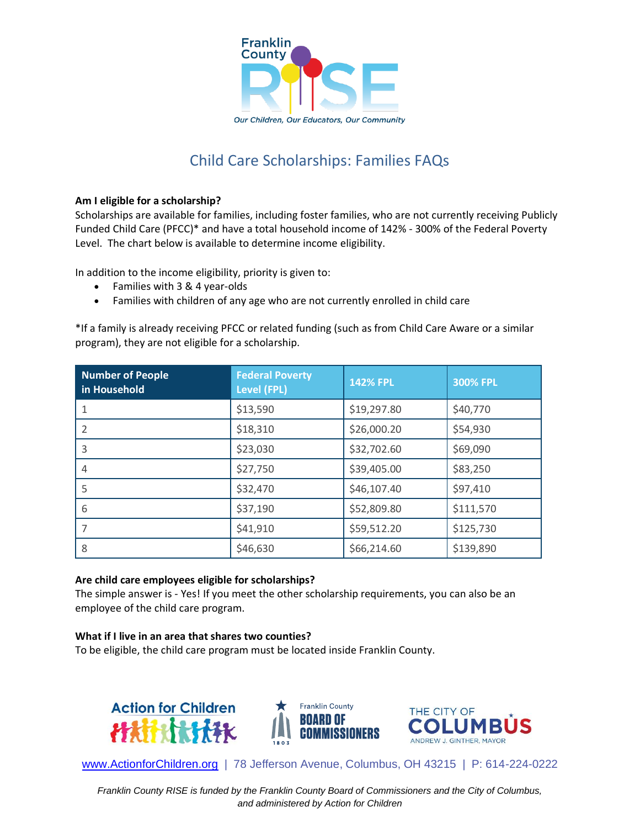

# Child Care Scholarships: Families FAQs

# **Am I eligible for a scholarship?**

Scholarships are available for families, including foster families, who are not currently receiving Publicly Funded Child Care (PFCC)\* and have a total household income of 142% - 300% of the Federal Poverty Level. The chart below is available to determine income eligibility.

In addition to the income eligibility, priority is given to:

- Families with 3 & 4 year-olds
- Families with children of any age who are not currently enrolled in child care

\*If a family is already receiving PFCC or related funding (such as from Child Care Aware or a similar program), they are not eligible for a scholarship.

| <b>Number of People</b><br>in Household | <b>Federal Poverty</b><br><b>Level (FPL)</b> | <b>142% FPL</b> | <b>300% FPL</b> |
|-----------------------------------------|----------------------------------------------|-----------------|-----------------|
|                                         | \$13,590                                     | \$19,297.80     | \$40,770        |
| 2                                       | \$18,310                                     | \$26,000.20     | \$54,930        |
| 3                                       | \$23,030                                     | \$32,702.60     | \$69,090        |
| 4                                       | \$27,750                                     | \$39,405.00     | \$83,250        |
| 5                                       | \$32,470                                     | \$46,107.40     | \$97,410        |
| 6                                       | \$37,190                                     | \$52,809.80     | \$111,570       |
| 7                                       | \$41,910                                     | \$59,512.20     | \$125,730       |
| 8                                       | \$46,630                                     | \$66,214.60     | \$139,890       |

## **Are child care employees eligible for scholarships?**

The simple answer is - Yes! If you meet the other scholarship requirements, you can also be an employee of the child care program.

## **What if I live in an area that shares two counties?**

To be eligible, the child care program must be located inside Franklin County.







[www.ActionforChildren.org](http://www.actionforchildren.org/) | 78 Jefferson Avenue, Columbus, OH 43215 | P: 614-224-0222

*Franklin County RISE is funded by the Franklin County Board of Commissioners and the City of Columbus, and administered by Action for Children*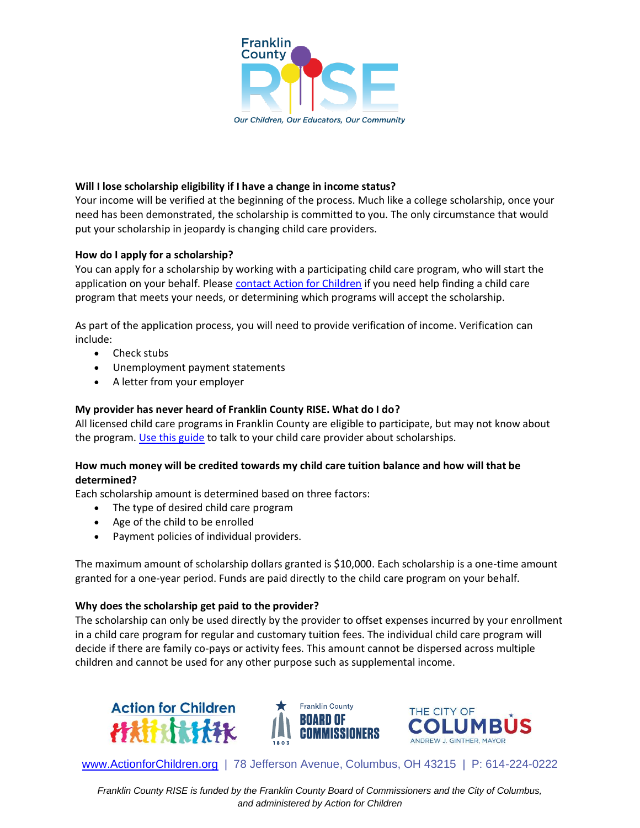

## **Will I lose scholarship eligibility if I have a change in income status?**

Your income will be verified at the beginning of the process. Much like a college scholarship, once your need has been demonstrated, the scholarship is committed to you. The only circumstance that would put your scholarship in jeopardy is changing child care providers.

## **How do I apply for a scholarship?**

You can apply for a scholarship by working with a participating child care program, who will start the application on your behalf. Please [contact Action for Children](https://www.actionforchildren.org/choosing-child-care/) if you need help finding a child care program that meets your needs, or determining which programs will accept the scholarship.

As part of the application process, you will need to provide verification of income. Verification can include:

- Check stubs
- Unemployment payment statements
- A letter from your employer

# **My provider has never heard of Franklin County RISE. What do I do?**

All licensed child care programs in Franklin County are eligible to participate, but may not know about the program. [Use this guide](https://www.actionforchildren.org/wp-content/uploads/2022/04/How-to-talk-to-your-child-care-provider-about-Franklin-County-RISE-scholarships.pdf) to talk to your child care provider about scholarships.

# **How much money will be credited towards my child care tuition balance and how will that be determined?**

Each scholarship amount is determined based on three factors:

- The type of desired child care program
- Age of the child to be enrolled
- Payment policies of individual providers.

The maximum amount of scholarship dollars granted is \$10,000. Each scholarship is a one-time amount granted for a one-year period. Funds are paid directly to the child care program on your behalf.

## **Why does the scholarship get paid to the provider?**

The scholarship can only be used directly by the provider to offset expenses incurred by your enrollment in a child care program for regular and customary tuition fees. The individual child care program will decide if there are family co-pays or activity fees. This amount cannot be dispersed across multiple children and cannot be used for any other purpose such as supplemental income.







[www.ActionforChildren.org](http://www.actionforchildren.org/) | 78 Jefferson Avenue, Columbus, OH 43215 | P: 614-224-0222

*Franklin County RISE is funded by the Franklin County Board of Commissioners and the City of Columbus, and administered by Action for Children*